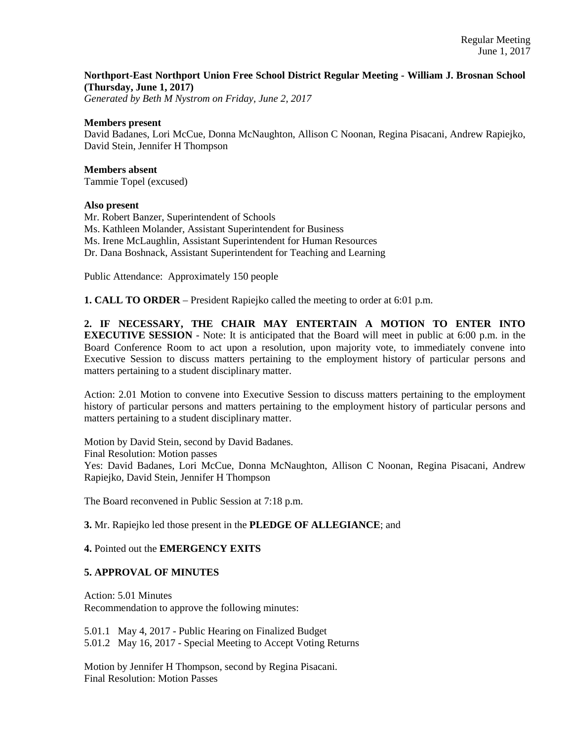# **Northport-East Northport Union Free School District Regular Meeting - William J. Brosnan School (Thursday, June 1, 2017)**

*Generated by Beth M Nystrom on Friday, June 2, 2017*

#### **Members present**

David Badanes, Lori McCue, Donna McNaughton, Allison C Noonan, Regina Pisacani, Andrew Rapiejko, David Stein, Jennifer H Thompson

**Members absent**  Tammie Topel (excused)

### **Also present**

Mr. Robert Banzer, Superintendent of Schools Ms. Kathleen Molander, Assistant Superintendent for Business Ms. Irene McLaughlin, Assistant Superintendent for Human Resources Dr. Dana Boshnack, Assistant Superintendent for Teaching and Learning

Public Attendance: Approximately 150 people

**1. CALL TO ORDER** – President Rapiejko called the meeting to order at 6:01 p.m.

**2. IF NECESSARY, THE CHAIR MAY ENTERTAIN A MOTION TO ENTER INTO EXECUTIVE SESSION** - Note: It is anticipated that the Board will meet in public at 6:00 p.m. in the Board Conference Room to act upon a resolution, upon majority vote, to immediately convene into Executive Session to discuss matters pertaining to the employment history of particular persons and matters pertaining to a student disciplinary matter.

Action: 2.01 Motion to convene into Executive Session to discuss matters pertaining to the employment history of particular persons and matters pertaining to the employment history of particular persons and matters pertaining to a student disciplinary matter.

Motion by David Stein, second by David Badanes. Final Resolution: Motion passes Yes: David Badanes, Lori McCue, Donna McNaughton, Allison C Noonan, Regina Pisacani, Andrew Rapiejko, David Stein, Jennifer H Thompson

The Board reconvened in Public Session at 7:18 p.m.

**3.** Mr. Rapiejko led those present in the **PLEDGE OF ALLEGIANCE**; and

## **4.** Pointed out the **EMERGENCY EXITS**

## **5. APPROVAL OF MINUTES**

Action: 5.01 Minutes Recommendation to approve the following minutes:

5.01.1 May 4, 2017 - Public Hearing on Finalized Budget 5.01.2 May 16, 2017 - Special Meeting to Accept Voting Returns

Motion by Jennifer H Thompson, second by Regina Pisacani. Final Resolution: Motion Passes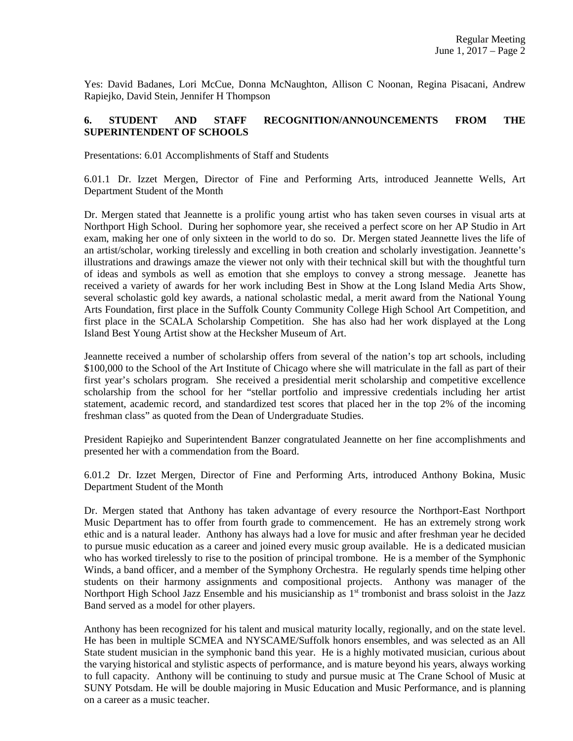Yes: David Badanes, Lori McCue, Donna McNaughton, Allison C Noonan, Regina Pisacani, Andrew Rapiejko, David Stein, Jennifer H Thompson

# **6. STUDENT AND STAFF RECOGNITION/ANNOUNCEMENTS FROM THE SUPERINTENDENT OF SCHOOLS**

Presentations: 6.01 Accomplishments of Staff and Students

6.01.1 Dr. Izzet Mergen, Director of Fine and Performing Arts, introduced Jeannette Wells, Art Department Student of the Month

Dr. Mergen stated that Jeannette is a prolific young artist who has taken seven courses in visual arts at Northport High School. During her sophomore year, she received a perfect score on her AP Studio in Art exam, making her one of only sixteen in the world to do so. Dr. Mergen stated Jeannette lives the life of an artist/scholar, working tirelessly and excelling in both creation and scholarly investigation. Jeannette's illustrations and drawings amaze the viewer not only with their technical skill but with the thoughtful turn of ideas and symbols as well as emotion that she employs to convey a strong message. Jeanette has received a variety of awards for her work including Best in Show at the Long Island Media Arts Show, several scholastic gold key awards, a national scholastic medal, a merit award from the National Young Arts Foundation, first place in the Suffolk County Community College High School Art Competition, and first place in the SCALA Scholarship Competition. She has also had her work displayed at the Long Island Best Young Artist show at the Hecksher Museum of Art.

Jeannette received a number of scholarship offers from several of the nation's top art schools, including \$100,000 to the School of the Art Institute of Chicago where she will matriculate in the fall as part of their first year's scholars program. She received a presidential merit scholarship and competitive excellence scholarship from the school for her "stellar portfolio and impressive credentials including her artist statement, academic record, and standardized test scores that placed her in the top 2% of the incoming freshman class" as quoted from the Dean of Undergraduate Studies.

President Rapiejko and Superintendent Banzer congratulated Jeannette on her fine accomplishments and presented her with a commendation from the Board.

6.01.2 Dr. Izzet Mergen, Director of Fine and Performing Arts, introduced Anthony Bokina, Music Department Student of the Month

Dr. Mergen stated that Anthony has taken advantage of every resource the Northport-East Northport Music Department has to offer from fourth grade to commencement. He has an extremely strong work ethic and is a natural leader. Anthony has always had a love for music and after freshman year he decided to pursue music education as a career and joined every music group available. He is a dedicated musician who has worked tirelessly to rise to the position of principal trombone. He is a member of the Symphonic Winds, a band officer, and a member of the Symphony Orchestra. He regularly spends time helping other students on their harmony assignments and compositional projects. Anthony was manager of the Northport High School Jazz Ensemble and his musicianship as 1<sup>st</sup> trombonist and brass soloist in the Jazz Band served as a model for other players.

Anthony has been recognized for his talent and musical maturity locally, regionally, and on the state level. He has been in multiple SCMEA and NYSCAME/Suffolk honors ensembles, and was selected as an All State student musician in the symphonic band this year. He is a highly motivated musician, curious about the varying historical and stylistic aspects of performance, and is mature beyond his years, always working to full capacity. Anthony will be continuing to study and pursue music at The Crane School of Music at SUNY Potsdam. He will be double majoring in Music Education and Music Performance, and is planning on a career as a music teacher.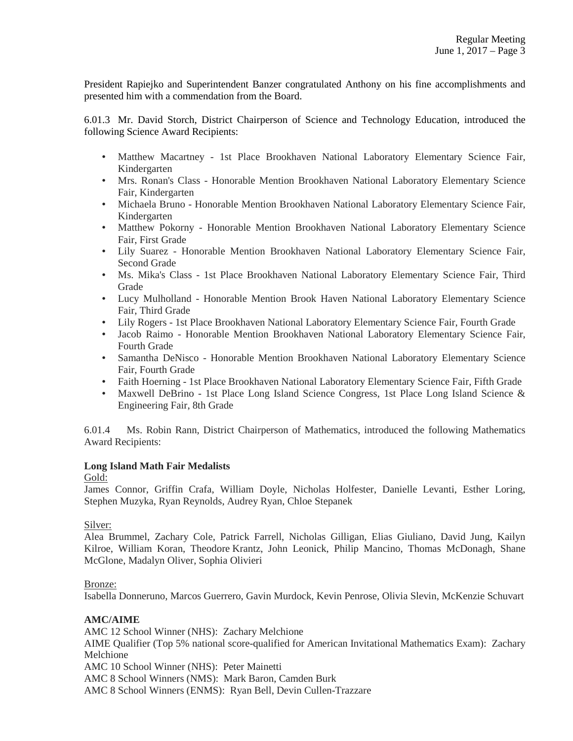President Rapiejko and Superintendent Banzer congratulated Anthony on his fine accomplishments and presented him with a commendation from the Board.

6.01.3 Mr. David Storch, District Chairperson of Science and Technology Education, introduced the following Science Award Recipients:

- Matthew Macartney 1st Place Brookhaven National Laboratory Elementary Science Fair, Kindergarten
- Mrs. Ronan's Class Honorable Mention Brookhaven National Laboratory Elementary Science Fair, Kindergarten
- Michaela Bruno Honorable Mention Brookhaven National Laboratory Elementary Science Fair, Kindergarten
- Matthew Pokorny Honorable Mention Brookhaven National Laboratory Elementary Science Fair, First Grade
- Lily Suarez Honorable Mention Brookhaven National Laboratory Elementary Science Fair, Second Grade
- Ms. Mika's Class 1st Place Brookhaven National Laboratory Elementary Science Fair, Third Grade
- Lucy Mulholland Honorable Mention Brook Haven National Laboratory Elementary Science Fair, Third Grade
- Lily Rogers 1st Place Brookhaven National Laboratory Elementary Science Fair, Fourth Grade
- Jacob Raimo Honorable Mention Brookhaven National Laboratory Elementary Science Fair, Fourth Grade
- Samantha DeNisco Honorable Mention Brookhaven National Laboratory Elementary Science Fair, Fourth Grade
- Faith Hoerning 1st Place Brookhaven National Laboratory Elementary Science Fair, Fifth Grade
- Maxwell DeBrino 1st Place Long Island Science Congress, 1st Place Long Island Science & Engineering Fair, 8th Grade

6.01.4 Ms. Robin Rann, District Chairperson of Mathematics, introduced the following Mathematics Award Recipients:

## **Long Island Math Fair Medalists**

## Gold:

James Connor, Griffin Crafa, William Doyle, Nicholas Holfester, Danielle Levanti, Esther Loring, Stephen Muzyka, Ryan Reynolds, Audrey Ryan, Chloe Stepanek

## Silver:

Alea Brummel, Zachary Cole, Patrick Farrell, Nicholas Gilligan, Elias Giuliano, David Jung, Kailyn Kilroe, William Koran, Theodore Krantz, John Leonick, Philip Mancino, Thomas McDonagh, Shane McGlone, Madalyn Oliver, Sophia Olivieri

## Bronze:

Isabella Donneruno, Marcos Guerrero, Gavin Murdock, Kevin Penrose, Olivia Slevin, McKenzie Schuvart

## **AMC/AIME**

AMC 12 School Winner (NHS): Zachary Melchione AIME Qualifier (Top 5% national score-qualified for American Invitational Mathematics Exam): Zachary Melchione AMC 10 School Winner (NHS): Peter Mainetti AMC 8 School Winners (NMS): Mark Baron, Camden Burk

AMC 8 School Winners (ENMS): Ryan Bell, Devin Cullen-Trazzare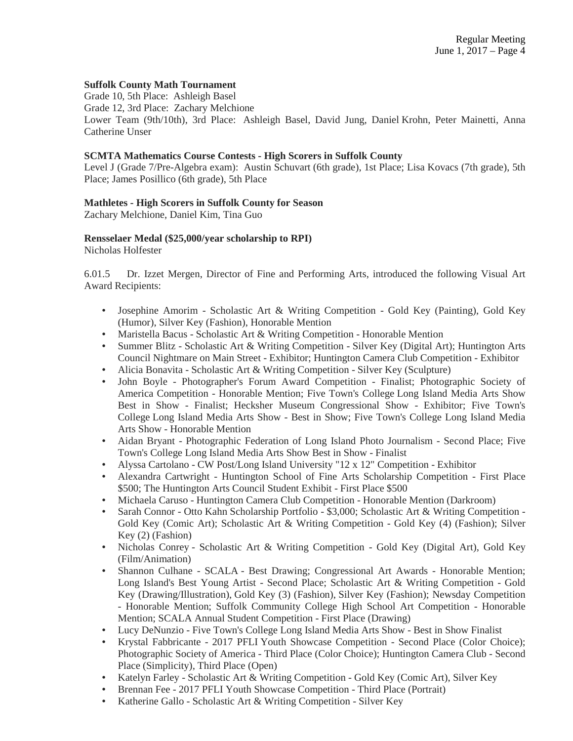## **Suffolk County Math Tournament**

Grade 10, 5th Place: Ashleigh Basel Grade 12, 3rd Place: Zachary Melchione Lower Team (9th/10th), 3rd Place: Ashleigh Basel, David Jung, Daniel Krohn, Peter Mainetti, Anna Catherine Unser

#### **SCMTA Mathematics Course Contests - High Scorers in Suffolk County**

Level J (Grade 7/Pre-Algebra exam): Austin Schuvart (6th grade), 1st Place; Lisa Kovacs (7th grade), 5th Place; James Posillico (6th grade), 5th Place

### **Mathletes - High Scorers in Suffolk County for Season**

Zachary Melchione, Daniel Kim, Tina Guo

### **Rensselaer Medal (\$25,000/year scholarship to RPI)**

Nicholas Holfester

6.01.5 Dr. Izzet Mergen, Director of Fine and Performing Arts, introduced the following Visual Art Award Recipients:

- Josephine Amorim Scholastic Art & Writing Competition Gold Key (Painting), Gold Key (Humor), Silver Key (Fashion), Honorable Mention
- Maristella Bacus Scholastic Art & Writing Competition Honorable Mention
- Summer Blitz Scholastic Art & Writing Competition Silver Key (Digital Art); Huntington Arts Council Nightmare on Main Street - Exhibitor; Huntington Camera Club Competition - Exhibitor
- Alicia Bonavita Scholastic Art & Writing Competition Silver Key (Sculpture)
- John Boyle Photographer's Forum Award Competition Finalist; Photographic Society of America Competition - Honorable Mention; Five Town's College Long Island Media Arts Show Best in Show - Finalist; Hecksher Museum Congressional Show - Exhibitor; Five Town's College Long Island Media Arts Show - Best in Show; Five Town's College Long Island Media Arts Show - Honorable Mention
- Aidan Bryant Photographic Federation of Long Island Photo Journalism Second Place; Five Town's College Long Island Media Arts Show Best in Show - Finalist
- Alyssa Cartolano CW Post/Long Island University "12 x 12" Competition Exhibitor
- Alexandra Cartwright Huntington School of Fine Arts Scholarship Competition First Place \$500; The Huntington Arts Council Student Exhibit - First Place \$500
- Michaela Caruso Huntington Camera Club Competition Honorable Mention (Darkroom)
- Sarah Connor Otto Kahn Scholarship Portfolio \$3,000; Scholastic Art & Writing Competition Gold Key (Comic Art); Scholastic Art & Writing Competition - Gold Key (4) (Fashion); Silver Key (2) (Fashion)
- Nicholas Conrey Scholastic Art & Writing Competition Gold Key (Digital Art), Gold Key (Film/Animation)
- Shannon Culhane SCALA Best Drawing; Congressional Art Awards Honorable Mention; Long Island's Best Young Artist - Second Place; Scholastic Art & Writing Competition - Gold Key (Drawing/Illustration), Gold Key (3) (Fashion), Silver Key (Fashion); Newsday Competition - Honorable Mention; Suffolk Community College High School Art Competition - Honorable Mention; SCALA Annual Student Competition - First Place (Drawing)
- Lucy DeNunzio Five Town's College Long Island Media Arts Show Best in Show Finalist
- Krystal Fabbricante 2017 PFLI Youth Showcase Competition Second Place (Color Choice); Photographic Society of America - Third Place (Color Choice); Huntington Camera Club - Second Place (Simplicity), Third Place (Open)
- Katelyn Farley Scholastic Art & Writing Competition Gold Key (Comic Art), Silver Key
- Brennan Fee 2017 PFLI Youth Showcase Competition Third Place (Portrait)
- Katherine Gallo Scholastic Art & Writing Competition Silver Key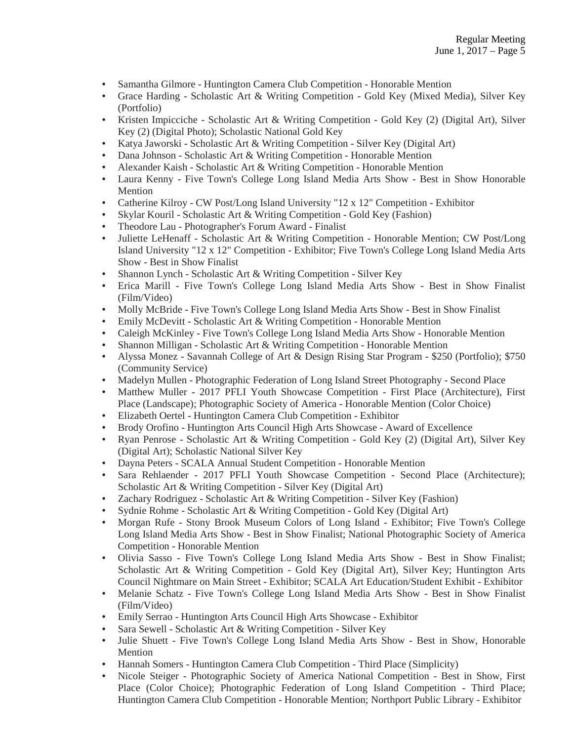- Samantha Gilmore Huntington Camera Club Competition Honorable Mention
- Grace Harding Scholastic Art & Writing Competition Gold Key (Mixed Media), Silver Key (Portfolio)
- Kristen Impicciche Scholastic Art & Writing Competition Gold Key (2) (Digital Art), Silver Key (2) (Digital Photo); Scholastic National Gold Key
- Katya Jaworski Scholastic Art & Writing Competition Silver Key (Digital Art)
- Dana Johnson Scholastic Art & Writing Competition Honorable Mention
- Alexander Kaish Scholastic Art & Writing Competition Honorable Mention
- Laura Kenny Five Town's College Long Island Media Arts Show Best in Show Honorable Mention
- Catherine Kilroy CW Post/Long Island University "12 x 12" Competition Exhibitor
- Skylar Kouril Scholastic Art & Writing Competition Gold Key (Fashion)
- Theodore Lau Photographer's Forum Award Finalist
- Juliette LeHenaff Scholastic Art & Writing Competition Honorable Mention; CW Post/Long Island University "12 x 12" Competition - Exhibitor; Five Town's College Long Island Media Arts Show - Best in Show Finalist
- Shannon Lynch Scholastic Art & Writing Competition Silver Key
- Erica Marill Five Town's College Long Island Media Arts Show Best in Show Finalist (Film/Video)
- Molly McBride Five Town's College Long Island Media Arts Show Best in Show Finalist
- Emily McDevitt Scholastic Art & Writing Competition Honorable Mention
- Caleigh McKinley Five Town's College Long Island Media Arts Show Honorable Mention
- Shannon Milligan Scholastic Art & Writing Competition Honorable Mention
- Alyssa Monez Savannah College of Art & Design Rising Star Program \$250 (Portfolio); \$750 (Community Service)
- Madelyn Mullen Photographic Federation of Long Island Street Photography Second Place
- Matthew Muller 2017 PFLI Youth Showcase Competition First Place (Architecture), First Place (Landscape); Photographic Society of America - Honorable Mention (Color Choice)
- Elizabeth Oertel Huntington Camera Club Competition Exhibitor
- Brody Orofino Huntington Arts Council High Arts Showcase Award of Excellence
- Ryan Penrose Scholastic Art & Writing Competition Gold Key (2) (Digital Art), Silver Key (Digital Art); Scholastic National Silver Key
- Dayna Peters SCALA Annual Student Competition Honorable Mention
- Sara Rehlaender 2017 PFLI Youth Showcase Competition Second Place (Architecture); Scholastic Art & Writing Competition - Silver Key (Digital Art)
- Zachary Rodriguez Scholastic Art & Writing Competition Silver Key (Fashion)
- Sydnie Rohme Scholastic Art & Writing Competition Gold Key (Digital Art)
- Morgan Rufe Stony Brook Museum Colors of Long Island Exhibitor; Five Town's College Long Island Media Arts Show - Best in Show Finalist; National Photographic Society of America Competition - Honorable Mention
- Olivia Sasso Five Town's College Long Island Media Arts Show Best in Show Finalist; Scholastic Art & Writing Competition - Gold Key (Digital Art), Silver Key; Huntington Arts Council Nightmare on Main Street - Exhibitor; SCALA Art Education/Student Exhibit - Exhibitor
- Melanie Schatz Five Town's College Long Island Media Arts Show Best in Show Finalist (Film/Video)
- Emily Serrao Huntington Arts Council High Arts Showcase Exhibitor
- Sara Sewell Scholastic Art & Writing Competition Silver Key
- Julie Shuett Five Town's College Long Island Media Arts Show Best in Show, Honorable Mention
- Hannah Somers Huntington Camera Club Competition Third Place (Simplicity)
- Nicole Steiger Photographic Society of America National Competition Best in Show, First Place (Color Choice); Photographic Federation of Long Island Competition - Third Place; Huntington Camera Club Competition - Honorable Mention; Northport Public Library - Exhibitor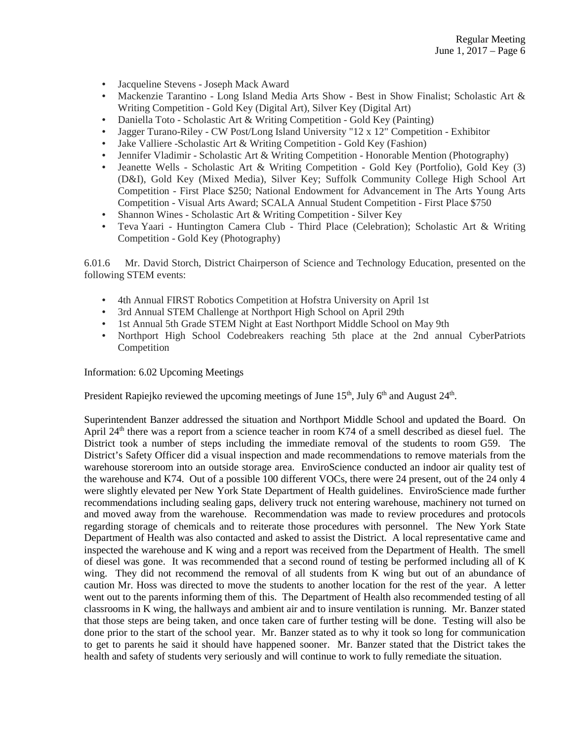- Jacqueline Stevens Joseph Mack Award
- Mackenzie Tarantino Long Island Media Arts Show Best in Show Finalist; Scholastic Art & Writing Competition - Gold Key (Digital Art), Silver Key (Digital Art)
- Daniella Toto Scholastic Art & Writing Competition Gold Key (Painting)
- Jagger Turano-Riley CW Post/Long Island University "12 x 12" Competition Exhibitor
- Jake Valliere -Scholastic Art & Writing Competition Gold Key (Fashion)
- Jennifer Vladimir Scholastic Art & Writing Competition Honorable Mention (Photography)
- Jeanette Wells Scholastic Art & Writing Competition Gold Key (Portfolio), Gold Key (3) (D&I), Gold Key (Mixed Media), Silver Key; Suffolk Community College High School Art Competition - First Place \$250; National Endowment for Advancement in The Arts Young Arts Competition - Visual Arts Award; SCALA Annual Student Competition - First Place \$750
- Shannon Wines Scholastic Art & Writing Competition Silver Key
- Teva Yaari Huntington Camera Club Third Place (Celebration); Scholastic Art & Writing Competition - Gold Key (Photography)

6.01.6 Mr. David Storch, District Chairperson of Science and Technology Education, presented on the following STEM events:

- 4th Annual FIRST Robotics Competition at Hofstra University on April 1st
- 3rd Annual STEM Challenge at Northport High School on April 29th
- 1st Annual 5th Grade STEM Night at East Northport Middle School on May 9th
- Northport High School Codebreakers reaching 5th place at the 2nd annual CyberPatriots Competition

Information: 6.02 Upcoming Meetings

President Rapiejko reviewed the upcoming meetings of June 15<sup>th</sup>, July 6<sup>th</sup> and August 24<sup>th</sup>.

Superintendent Banzer addressed the situation and Northport Middle School and updated the Board. On April  $24<sup>th</sup>$  there was a report from a science teacher in room K74 of a smell described as diesel fuel. The District took a number of steps including the immediate removal of the students to room G59. The District's Safety Officer did a visual inspection and made recommendations to remove materials from the warehouse storeroom into an outside storage area. EnviroScience conducted an indoor air quality test of the warehouse and K74. Out of a possible 100 different VOCs, there were 24 present, out of the 24 only 4 were slightly elevated per New York State Department of Health guidelines. EnviroScience made further recommendations including sealing gaps, delivery truck not entering warehouse, machinery not turned on and moved away from the warehouse. Recommendation was made to review procedures and protocols regarding storage of chemicals and to reiterate those procedures with personnel. The New York State Department of Health was also contacted and asked to assist the District. A local representative came and inspected the warehouse and K wing and a report was received from the Department of Health. The smell of diesel was gone. It was recommended that a second round of testing be performed including all of K wing. They did not recommend the removal of all students from K wing but out of an abundance of caution Mr. Hoss was directed to move the students to another location for the rest of the year. A letter went out to the parents informing them of this. The Department of Health also recommended testing of all classrooms in K wing, the hallways and ambient air and to insure ventilation is running. Mr. Banzer stated that those steps are being taken, and once taken care of further testing will be done. Testing will also be done prior to the start of the school year. Mr. Banzer stated as to why it took so long for communication to get to parents he said it should have happened sooner. Mr. Banzer stated that the District takes the health and safety of students very seriously and will continue to work to fully remediate the situation.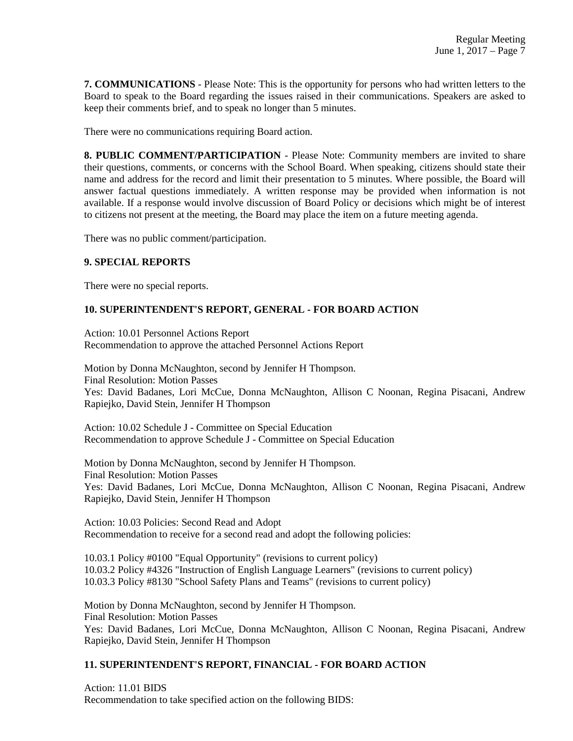**7. COMMUNICATIONS** - Please Note: This is the opportunity for persons who had written letters to the Board to speak to the Board regarding the issues raised in their communications. Speakers are asked to keep their comments brief, and to speak no longer than 5 minutes.

There were no communications requiring Board action.

**8. PUBLIC COMMENT/PARTICIPATION** - Please Note: Community members are invited to share their questions, comments, or concerns with the School Board. When speaking, citizens should state their name and address for the record and limit their presentation to 5 minutes. Where possible, the Board will answer factual questions immediately. A written response may be provided when information is not available. If a response would involve discussion of Board Policy or decisions which might be of interest to citizens not present at the meeting, the Board may place the item on a future meeting agenda.

There was no public comment/participation.

## **9. SPECIAL REPORTS**

There were no special reports.

## **10. SUPERINTENDENT'S REPORT, GENERAL - FOR BOARD ACTION**

Action: 10.01 Personnel Actions Report Recommendation to approve the attached Personnel Actions Report

Motion by Donna McNaughton, second by Jennifer H Thompson. Final Resolution: Motion Passes Yes: David Badanes, Lori McCue, Donna McNaughton, Allison C Noonan, Regina Pisacani, Andrew Rapiejko, David Stein, Jennifer H Thompson

Action: 10.02 Schedule J - Committee on Special Education Recommendation to approve Schedule J - Committee on Special Education

Motion by Donna McNaughton, second by Jennifer H Thompson. Final Resolution: Motion Passes Yes: David Badanes, Lori McCue, Donna McNaughton, Allison C Noonan, Regina Pisacani, Andrew Rapiejko, David Stein, Jennifer H Thompson

Action: 10.03 Policies: Second Read and Adopt Recommendation to receive for a second read and adopt the following policies:

10.03.1 Policy #0100 "Equal Opportunity" (revisions to current policy) 10.03.2 Policy #4326 "Instruction of English Language Learners" (revisions to current policy) 10.03.3 Policy #8130 "School Safety Plans and Teams" (revisions to current policy)

Motion by Donna McNaughton, second by Jennifer H Thompson. Final Resolution: Motion Passes Yes: David Badanes, Lori McCue, Donna McNaughton, Allison C Noonan, Regina Pisacani, Andrew Rapiejko, David Stein, Jennifer H Thompson

## **11. SUPERINTENDENT'S REPORT, FINANCIAL - FOR BOARD ACTION**

Action: 11.01 BIDS Recommendation to take specified action on the following BIDS: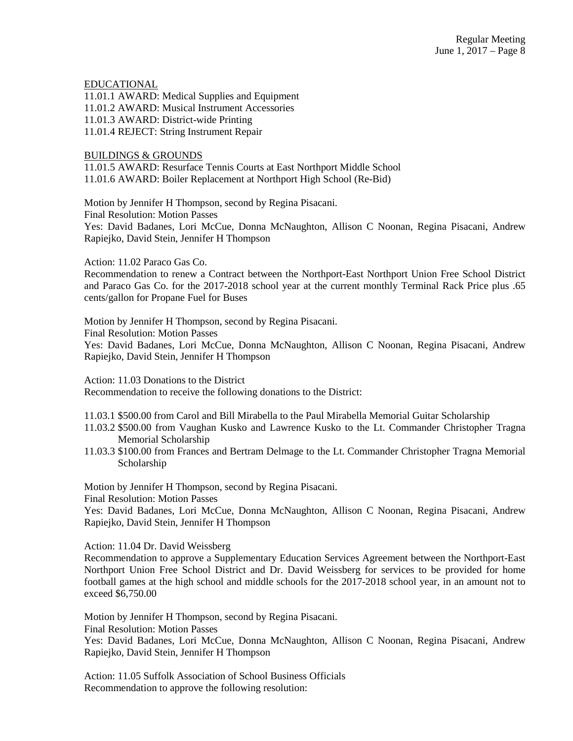#### EDUCATIONAL

11.01.1 AWARD: Medical Supplies and Equipment 11.01.2 AWARD: Musical Instrument Accessories 11.01.3 AWARD: District-wide Printing 11.01.4 REJECT: String Instrument Repair

#### BUILDINGS & GROUNDS

11.01.5 AWARD: Resurface Tennis Courts at East Northport Middle School 11.01.6 AWARD: Boiler Replacement at Northport High School (Re-Bid)

Motion by Jennifer H Thompson, second by Regina Pisacani.

Final Resolution: Motion Passes

Yes: David Badanes, Lori McCue, Donna McNaughton, Allison C Noonan, Regina Pisacani, Andrew Rapiejko, David Stein, Jennifer H Thompson

Action: 11.02 Paraco Gas Co.

Recommendation to renew a Contract between the Northport-East Northport Union Free School District and Paraco Gas Co. for the 2017-2018 school year at the current monthly Terminal Rack Price plus .65 cents/gallon for Propane Fuel for Buses

Motion by Jennifer H Thompson, second by Regina Pisacani. Final Resolution: Motion Passes Yes: David Badanes, Lori McCue, Donna McNaughton, Allison C Noonan, Regina Pisacani, Andrew Rapiejko, David Stein, Jennifer H Thompson

Action: 11.03 Donations to the District

Recommendation to receive the following donations to the District:

- 11.03.1 \$500.00 from Carol and Bill Mirabella to the Paul Mirabella Memorial Guitar Scholarship
- 11.03.2 \$500.00 from Vaughan Kusko and Lawrence Kusko to the Lt. Commander Christopher Tragna Memorial Scholarship
- 11.03.3 \$100.00 from Frances and Bertram Delmage to the Lt. Commander Christopher Tragna Memorial Scholarship

Motion by Jennifer H Thompson, second by Regina Pisacani.

Final Resolution: Motion Passes

Yes: David Badanes, Lori McCue, Donna McNaughton, Allison C Noonan, Regina Pisacani, Andrew Rapiejko, David Stein, Jennifer H Thompson

Action: 11.04 Dr. David Weissberg

Recommendation to approve a Supplementary Education Services Agreement between the Northport-East Northport Union Free School District and Dr. David Weissberg for services to be provided for home football games at the high school and middle schools for the 2017-2018 school year, in an amount not to exceed \$6,750.00

Motion by Jennifer H Thompson, second by Regina Pisacani. Final Resolution: Motion Passes

Yes: David Badanes, Lori McCue, Donna McNaughton, Allison C Noonan, Regina Pisacani, Andrew Rapiejko, David Stein, Jennifer H Thompson

Action: 11.05 Suffolk Association of School Business Officials Recommendation to approve the following resolution: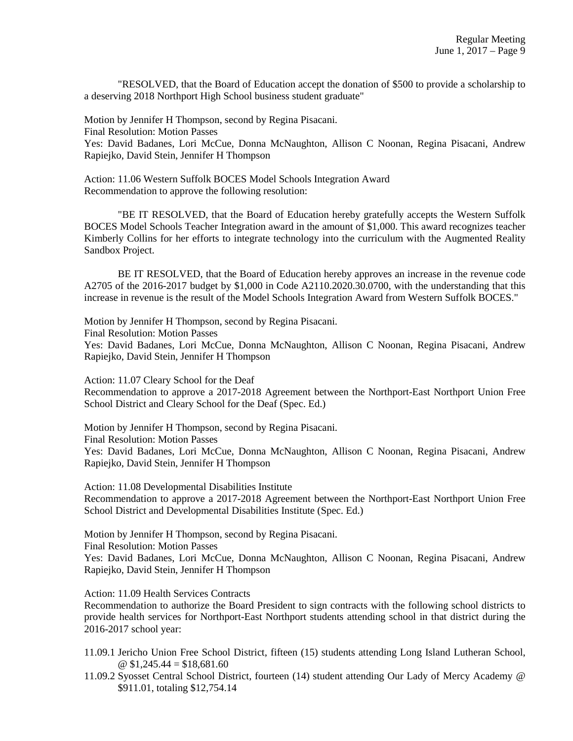"RESOLVED, that the Board of Education accept the donation of \$500 to provide a scholarship to a deserving 2018 Northport High School business student graduate"

Motion by Jennifer H Thompson, second by Regina Pisacani. Final Resolution: Motion Passes Yes: David Badanes, Lori McCue, Donna McNaughton, Allison C Noonan, Regina Pisacani, Andrew Rapiejko, David Stein, Jennifer H Thompson

Action: 11.06 Western Suffolk BOCES Model Schools Integration Award Recommendation to approve the following resolution:

"BE IT RESOLVED, that the Board of Education hereby gratefully accepts the Western Suffolk BOCES Model Schools Teacher Integration award in the amount of \$1,000. This award recognizes teacher Kimberly Collins for her efforts to integrate technology into the curriculum with the Augmented Reality Sandbox Project.

BE IT RESOLVED, that the Board of Education hereby approves an increase in the revenue code A2705 of the 2016-2017 budget by \$1,000 in Code A2110.2020.30.0700, with the understanding that this increase in revenue is the result of the Model Schools Integration Award from Western Suffolk BOCES."

Motion by Jennifer H Thompson, second by Regina Pisacani. Final Resolution: Motion Passes Yes: David Badanes, Lori McCue, Donna McNaughton, Allison C Noonan, Regina Pisacani, Andrew Rapiejko, David Stein, Jennifer H Thompson

Action: 11.07 Cleary School for the Deaf Recommendation to approve a 2017-2018 Agreement between the Northport-East Northport Union Free School District and Cleary School for the Deaf (Spec. Ed.)

Motion by Jennifer H Thompson, second by Regina Pisacani. Final Resolution: Motion Passes Yes: David Badanes, Lori McCue, Donna McNaughton, Allison C Noonan, Regina Pisacani, Andrew Rapiejko, David Stein, Jennifer H Thompson

Action: 11.08 Developmental Disabilities Institute Recommendation to approve a 2017-2018 Agreement between the Northport-East Northport Union Free School District and Developmental Disabilities Institute (Spec. Ed.)

Motion by Jennifer H Thompson, second by Regina Pisacani. Final Resolution: Motion Passes Yes: David Badanes, Lori McCue, Donna McNaughton, Allison C Noonan, Regina Pisacani, Andrew

Rapiejko, David Stein, Jennifer H Thompson

Action: 11.09 Health Services Contracts

Recommendation to authorize the Board President to sign contracts with the following school districts to provide health services for Northport-East Northport students attending school in that district during the 2016-2017 school year:

11.09.1 Jericho Union Free School District, fifteen (15) students attending Long Island Lutheran School,  $\textcircled{ }$  \$1,245.44 = \$18,681.60

11.09.2 Syosset Central School District, fourteen (14) student attending Our Lady of Mercy Academy @ \$911.01, totaling \$12,754.14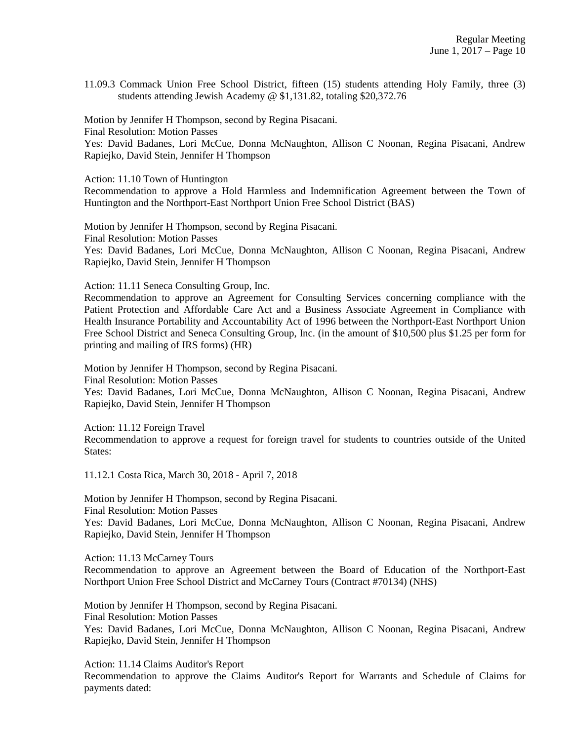11.09.3 Commack Union Free School District, fifteen (15) students attending Holy Family, three (3) students attending Jewish Academy @ \$1,131.82, totaling \$20,372.76

Motion by Jennifer H Thompson, second by Regina Pisacani. Final Resolution: Motion Passes Yes: David Badanes, Lori McCue, Donna McNaughton, Allison C Noonan, Regina Pisacani, Andrew Rapiejko, David Stein, Jennifer H Thompson

Action: 11.10 Town of Huntington

Recommendation to approve a Hold Harmless and Indemnification Agreement between the Town of Huntington and the Northport-East Northport Union Free School District (BAS)

Motion by Jennifer H Thompson, second by Regina Pisacani. Final Resolution: Motion Passes Yes: David Badanes, Lori McCue, Donna McNaughton, Allison C Noonan, Regina Pisacani, Andrew Rapiejko, David Stein, Jennifer H Thompson

Action: 11.11 Seneca Consulting Group, Inc.

Recommendation to approve an Agreement for Consulting Services concerning compliance with the Patient Protection and Affordable Care Act and a Business Associate Agreement in Compliance with Health Insurance Portability and Accountability Act of 1996 between the Northport-East Northport Union Free School District and Seneca Consulting Group, Inc. (in the amount of \$10,500 plus \$1.25 per form for printing and mailing of IRS forms) (HR)

Motion by Jennifer H Thompson, second by Regina Pisacani. Final Resolution: Motion Passes

Yes: David Badanes, Lori McCue, Donna McNaughton, Allison C Noonan, Regina Pisacani, Andrew Rapiejko, David Stein, Jennifer H Thompson

Action: 11.12 Foreign Travel

Recommendation to approve a request for foreign travel for students to countries outside of the United States:

11.12.1 Costa Rica, March 30, 2018 - April 7, 2018

Motion by Jennifer H Thompson, second by Regina Pisacani. Final Resolution: Motion Passes Yes: David Badanes, Lori McCue, Donna McNaughton, Allison C Noonan, Regina Pisacani, Andrew Rapiejko, David Stein, Jennifer H Thompson

Action: 11.13 McCarney Tours

Recommendation to approve an Agreement between the Board of Education of the Northport-East Northport Union Free School District and McCarney Tours (Contract #70134) (NHS)

Motion by Jennifer H Thompson, second by Regina Pisacani. Final Resolution: Motion Passes Yes: David Badanes, Lori McCue, Donna McNaughton, Allison C Noonan, Regina Pisacani, Andrew Rapiejko, David Stein, Jennifer H Thompson

Action: 11.14 Claims Auditor's Report

Recommendation to approve the Claims Auditor's Report for Warrants and Schedule of Claims for payments dated: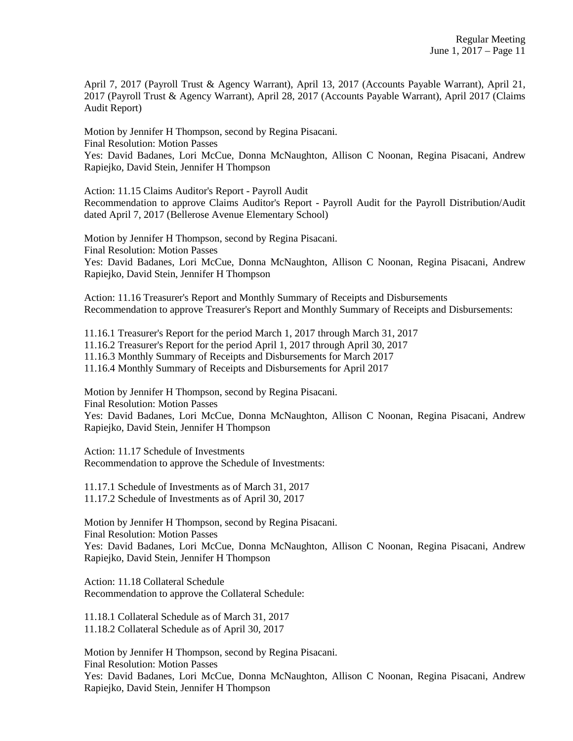April 7, 2017 (Payroll Trust & Agency Warrant), April 13, 2017 (Accounts Payable Warrant), April 21, 2017 (Payroll Trust & Agency Warrant), April 28, 2017 (Accounts Payable Warrant), April 2017 (Claims Audit Report)

Motion by Jennifer H Thompson, second by Regina Pisacani.

Final Resolution: Motion Passes

Yes: David Badanes, Lori McCue, Donna McNaughton, Allison C Noonan, Regina Pisacani, Andrew Rapiejko, David Stein, Jennifer H Thompson

Action: 11.15 Claims Auditor's Report - Payroll Audit

Recommendation to approve Claims Auditor's Report - Payroll Audit for the Payroll Distribution/Audit dated April 7, 2017 (Bellerose Avenue Elementary School)

Motion by Jennifer H Thompson, second by Regina Pisacani. Final Resolution: Motion Passes Yes: David Badanes, Lori McCue, Donna McNaughton, Allison C Noonan, Regina Pisacani, Andrew Rapiejko, David Stein, Jennifer H Thompson

Action: 11.16 Treasurer's Report and Monthly Summary of Receipts and Disbursements Recommendation to approve Treasurer's Report and Monthly Summary of Receipts and Disbursements:

11.16.1 Treasurer's Report for the period March 1, 2017 through March 31, 2017

11.16.2 Treasurer's Report for the period April 1, 2017 through April 30, 2017

11.16.3 Monthly Summary of Receipts and Disbursements for March 2017

11.16.4 Monthly Summary of Receipts and Disbursements for April 2017

Motion by Jennifer H Thompson, second by Regina Pisacani.

Final Resolution: Motion Passes

Yes: David Badanes, Lori McCue, Donna McNaughton, Allison C Noonan, Regina Pisacani, Andrew Rapiejko, David Stein, Jennifer H Thompson

Action: 11.17 Schedule of Investments Recommendation to approve the Schedule of Investments:

11.17.1 Schedule of Investments as of March 31, 2017 11.17.2 Schedule of Investments as of April 30, 2017

Motion by Jennifer H Thompson, second by Regina Pisacani. Final Resolution: Motion Passes Yes: David Badanes, Lori McCue, Donna McNaughton, Allison C Noonan, Regina Pisacani, Andrew Rapiejko, David Stein, Jennifer H Thompson

Action: 11.18 Collateral Schedule Recommendation to approve the Collateral Schedule:

11.18.1 Collateral Schedule as of March 31, 2017 11.18.2 Collateral Schedule as of April 30, 2017

Motion by Jennifer H Thompson, second by Regina Pisacani. Final Resolution: Motion Passes Yes: David Badanes, Lori McCue, Donna McNaughton, Allison C Noonan, Regina Pisacani, Andrew Rapiejko, David Stein, Jennifer H Thompson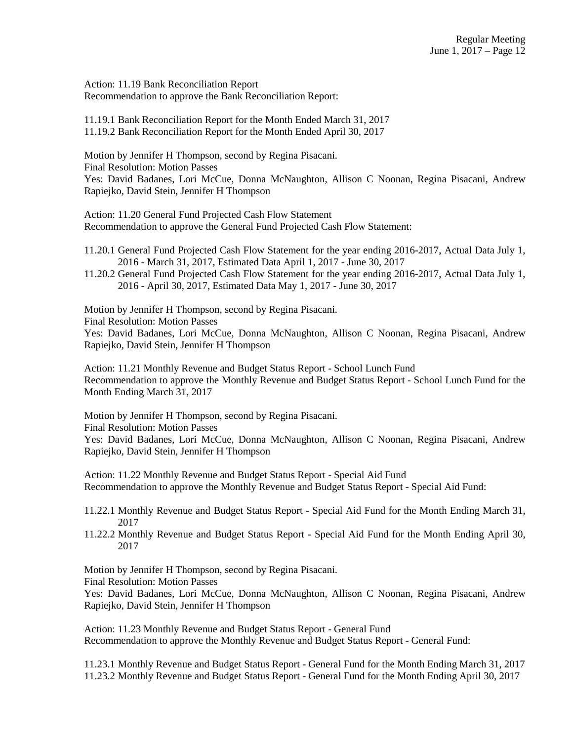Action: 11.19 Bank Reconciliation Report Recommendation to approve the Bank Reconciliation Report:

11.19.1 Bank Reconciliation Report for the Month Ended March 31, 2017 11.19.2 Bank Reconciliation Report for the Month Ended April 30, 2017

Motion by Jennifer H Thompson, second by Regina Pisacani.

Final Resolution: Motion Passes

Yes: David Badanes, Lori McCue, Donna McNaughton, Allison C Noonan, Regina Pisacani, Andrew Rapiejko, David Stein, Jennifer H Thompson

Action: 11.20 General Fund Projected Cash Flow Statement Recommendation to approve the General Fund Projected Cash Flow Statement:

11.20.1 General Fund Projected Cash Flow Statement for the year ending 2016-2017, Actual Data July 1, 2016 - March 31, 2017, Estimated Data April 1, 2017 - June 30, 2017

11.20.2 General Fund Projected Cash Flow Statement for the year ending 2016-2017, Actual Data July 1, 2016 - April 30, 2017, Estimated Data May 1, 2017 - June 30, 2017

Motion by Jennifer H Thompson, second by Regina Pisacani.

Final Resolution: Motion Passes

Yes: David Badanes, Lori McCue, Donna McNaughton, Allison C Noonan, Regina Pisacani, Andrew Rapiejko, David Stein, Jennifer H Thompson

Action: 11.21 Monthly Revenue and Budget Status Report - School Lunch Fund Recommendation to approve the Monthly Revenue and Budget Status Report - School Lunch Fund for the Month Ending March 31, 2017

Motion by Jennifer H Thompson, second by Regina Pisacani.

Final Resolution: Motion Passes

Yes: David Badanes, Lori McCue, Donna McNaughton, Allison C Noonan, Regina Pisacani, Andrew Rapiejko, David Stein, Jennifer H Thompson

Action: 11.22 Monthly Revenue and Budget Status Report - Special Aid Fund Recommendation to approve the Monthly Revenue and Budget Status Report - Special Aid Fund:

11.22.1 Monthly Revenue and Budget Status Report - Special Aid Fund for the Month Ending March 31, 2017

11.22.2 Monthly Revenue and Budget Status Report - Special Aid Fund for the Month Ending April 30, 2017

Motion by Jennifer H Thompson, second by Regina Pisacani. Final Resolution: Motion Passes

Yes: David Badanes, Lori McCue, Donna McNaughton, Allison C Noonan, Regina Pisacani, Andrew Rapiejko, David Stein, Jennifer H Thompson

Action: 11.23 Monthly Revenue and Budget Status Report - General Fund Recommendation to approve the Monthly Revenue and Budget Status Report - General Fund:

11.23.1 Monthly Revenue and Budget Status Report - General Fund for the Month Ending March 31, 2017 11.23.2 Monthly Revenue and Budget Status Report - General Fund for the Month Ending April 30, 2017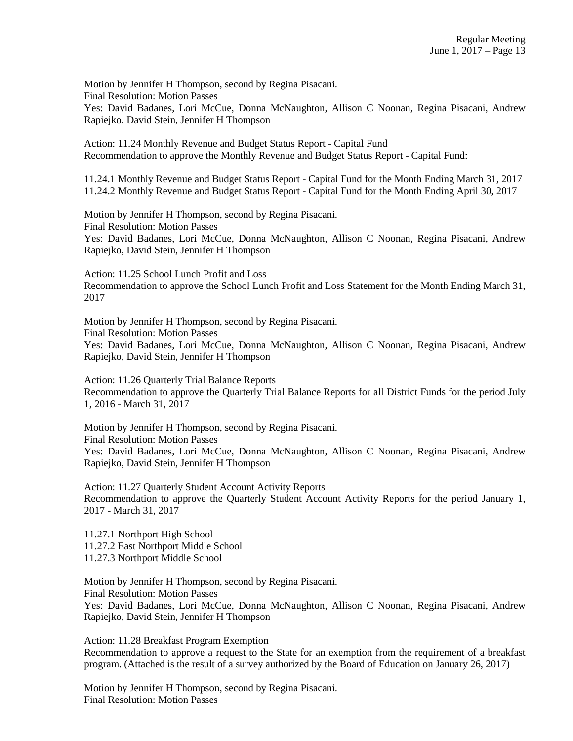Motion by Jennifer H Thompson, second by Regina Pisacani. Final Resolution: Motion Passes

Yes: David Badanes, Lori McCue, Donna McNaughton, Allison C Noonan, Regina Pisacani, Andrew Rapiejko, David Stein, Jennifer H Thompson

Action: 11.24 Monthly Revenue and Budget Status Report - Capital Fund Recommendation to approve the Monthly Revenue and Budget Status Report - Capital Fund:

11.24.1 Monthly Revenue and Budget Status Report - Capital Fund for the Month Ending March 31, 2017 11.24.2 Monthly Revenue and Budget Status Report - Capital Fund for the Month Ending April 30, 2017

Motion by Jennifer H Thompson, second by Regina Pisacani. Final Resolution: Motion Passes Yes: David Badanes, Lori McCue, Donna McNaughton, Allison C Noonan, Regina Pisacani, Andrew Rapiejko, David Stein, Jennifer H Thompson

Action: 11.25 School Lunch Profit and Loss Recommendation to approve the School Lunch Profit and Loss Statement for the Month Ending March 31, 2017

Motion by Jennifer H Thompson, second by Regina Pisacani. Final Resolution: Motion Passes Yes: David Badanes, Lori McCue, Donna McNaughton, Allison C Noonan, Regina Pisacani, Andrew Rapiejko, David Stein, Jennifer H Thompson

Action: 11.26 Quarterly Trial Balance Reports Recommendation to approve the Quarterly Trial Balance Reports for all District Funds for the period July 1, 2016 - March 31, 2017

Motion by Jennifer H Thompson, second by Regina Pisacani. Final Resolution: Motion Passes Yes: David Badanes, Lori McCue, Donna McNaughton, Allison C Noonan, Regina Pisacani, Andrew Rapiejko, David Stein, Jennifer H Thompson

Action: 11.27 Quarterly Student Account Activity Reports Recommendation to approve the Quarterly Student Account Activity Reports for the period January 1, 2017 - March 31, 2017

11.27.1 Northport High School 11.27.2 East Northport Middle School 11.27.3 Northport Middle School

Motion by Jennifer H Thompson, second by Regina Pisacani. Final Resolution: Motion Passes Yes: David Badanes, Lori McCue, Donna McNaughton, Allison C Noonan, Regina Pisacani, Andrew Rapiejko, David Stein, Jennifer H Thompson

Action: 11.28 Breakfast Program Exemption Recommendation to approve a request to the State for an exemption from the requirement of a breakfast program. (Attached is the result of a survey authorized by the Board of Education on January 26, 2017)

Motion by Jennifer H Thompson, second by Regina Pisacani. Final Resolution: Motion Passes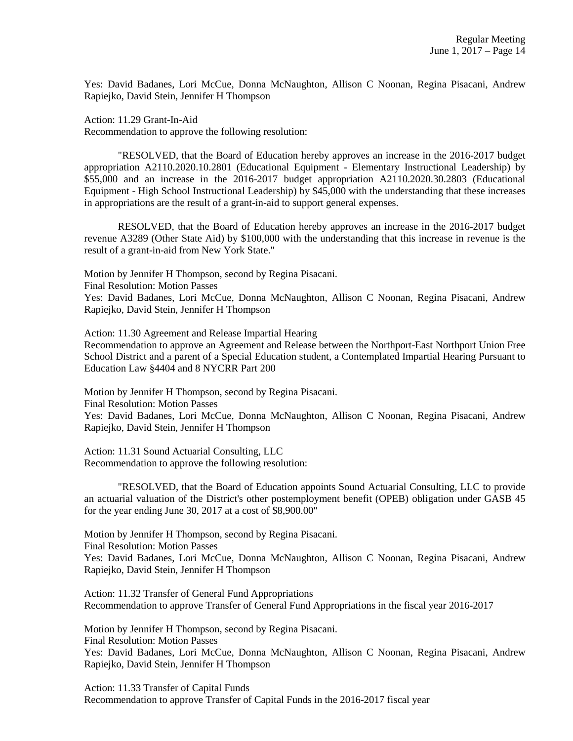Yes: David Badanes, Lori McCue, Donna McNaughton, Allison C Noonan, Regina Pisacani, Andrew Rapiejko, David Stein, Jennifer H Thompson

Action: 11.29 Grant-In-Aid

Recommendation to approve the following resolution:

"RESOLVED, that the Board of Education hereby approves an increase in the 2016-2017 budget appropriation A2110.2020.10.2801 (Educational Equipment - Elementary Instructional Leadership) by \$55,000 and an increase in the 2016-2017 budget appropriation A2110.2020.30.2803 (Educational Equipment - High School Instructional Leadership) by \$45,000 with the understanding that these increases in appropriations are the result of a grant-in-aid to support general expenses.

RESOLVED, that the Board of Education hereby approves an increase in the 2016-2017 budget revenue A3289 (Other State Aid) by \$100,000 with the understanding that this increase in revenue is the result of a grant-in-aid from New York State."

Motion by Jennifer H Thompson, second by Regina Pisacani.

Final Resolution: Motion Passes

Yes: David Badanes, Lori McCue, Donna McNaughton, Allison C Noonan, Regina Pisacani, Andrew Rapiejko, David Stein, Jennifer H Thompson

Action: 11.30 Agreement and Release Impartial Hearing Recommendation to approve an Agreement and Release between the Northport-East Northport Union Free School District and a parent of a Special Education student, a Contemplated Impartial Hearing Pursuant to Education Law §4404 and 8 NYCRR Part 200

Motion by Jennifer H Thompson, second by Regina Pisacani.

Final Resolution: Motion Passes

Yes: David Badanes, Lori McCue, Donna McNaughton, Allison C Noonan, Regina Pisacani, Andrew Rapiejko, David Stein, Jennifer H Thompson

Action: 11.31 Sound Actuarial Consulting, LLC Recommendation to approve the following resolution:

"RESOLVED, that the Board of Education appoints Sound Actuarial Consulting, LLC to provide an actuarial valuation of the District's other postemployment benefit (OPEB) obligation under GASB 45 for the year ending June 30, 2017 at a cost of \$8,900.00"

Motion by Jennifer H Thompson, second by Regina Pisacani.

Final Resolution: Motion Passes

Yes: David Badanes, Lori McCue, Donna McNaughton, Allison C Noonan, Regina Pisacani, Andrew Rapiejko, David Stein, Jennifer H Thompson

Action: 11.32 Transfer of General Fund Appropriations Recommendation to approve Transfer of General Fund Appropriations in the fiscal year 2016-2017

Motion by Jennifer H Thompson, second by Regina Pisacani.

Final Resolution: Motion Passes

Yes: David Badanes, Lori McCue, Donna McNaughton, Allison C Noonan, Regina Pisacani, Andrew Rapiejko, David Stein, Jennifer H Thompson

Action: 11.33 Transfer of Capital Funds Recommendation to approve Transfer of Capital Funds in the 2016-2017 fiscal year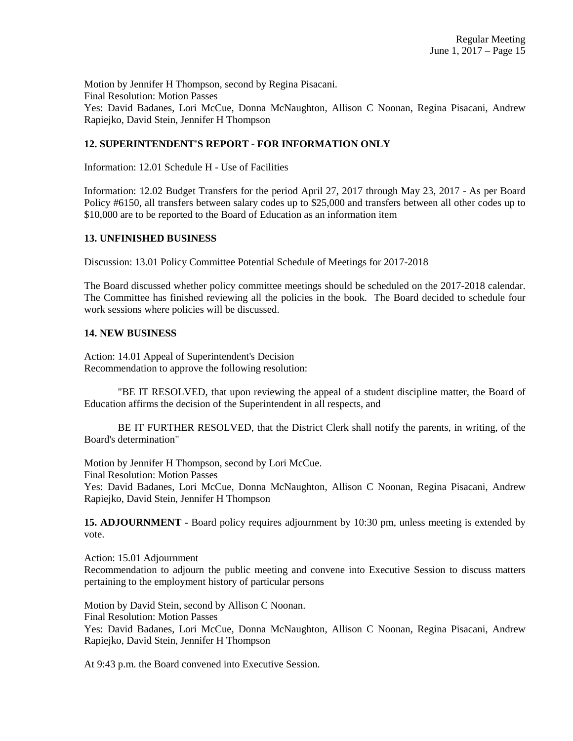Motion by Jennifer H Thompson, second by Regina Pisacani. Final Resolution: Motion Passes Yes: David Badanes, Lori McCue, Donna McNaughton, Allison C Noonan, Regina Pisacani, Andrew Rapiejko, David Stein, Jennifer H Thompson

# **12. SUPERINTENDENT'S REPORT - FOR INFORMATION ONLY**

Information: 12.01 Schedule H - Use of Facilities

Information: 12.02 Budget Transfers for the period April 27, 2017 through May 23, 2017 - As per Board Policy #6150, all transfers between salary codes up to \$25,000 and transfers between all other codes up to \$10,000 are to be reported to the Board of Education as an information item

### **13. UNFINISHED BUSINESS**

Discussion: 13.01 Policy Committee Potential Schedule of Meetings for 2017-2018

The Board discussed whether policy committee meetings should be scheduled on the 2017-2018 calendar. The Committee has finished reviewing all the policies in the book. The Board decided to schedule four work sessions where policies will be discussed.

### **14. NEW BUSINESS**

Action: 14.01 Appeal of Superintendent's Decision Recommendation to approve the following resolution:

"BE IT RESOLVED, that upon reviewing the appeal of a student discipline matter, the Board of Education affirms the decision of the Superintendent in all respects, and

BE IT FURTHER RESOLVED, that the District Clerk shall notify the parents, in writing, of the Board's determination"

Motion by Jennifer H Thompson, second by Lori McCue. Final Resolution: Motion Passes

Yes: David Badanes, Lori McCue, Donna McNaughton, Allison C Noonan, Regina Pisacani, Andrew Rapiejko, David Stein, Jennifer H Thompson

**15. ADJOURNMENT** - Board policy requires adjournment by 10:30 pm, unless meeting is extended by vote.

Action: 15.01 Adjournment Recommendation to adjourn the public meeting and convene into Executive Session to discuss matters pertaining to the employment history of particular persons

Motion by David Stein, second by Allison C Noonan. Final Resolution: Motion Passes Yes: David Badanes, Lori McCue, Donna McNaughton, Allison C Noonan, Regina Pisacani, Andrew Rapiejko, David Stein, Jennifer H Thompson

At 9:43 p.m. the Board convened into Executive Session.